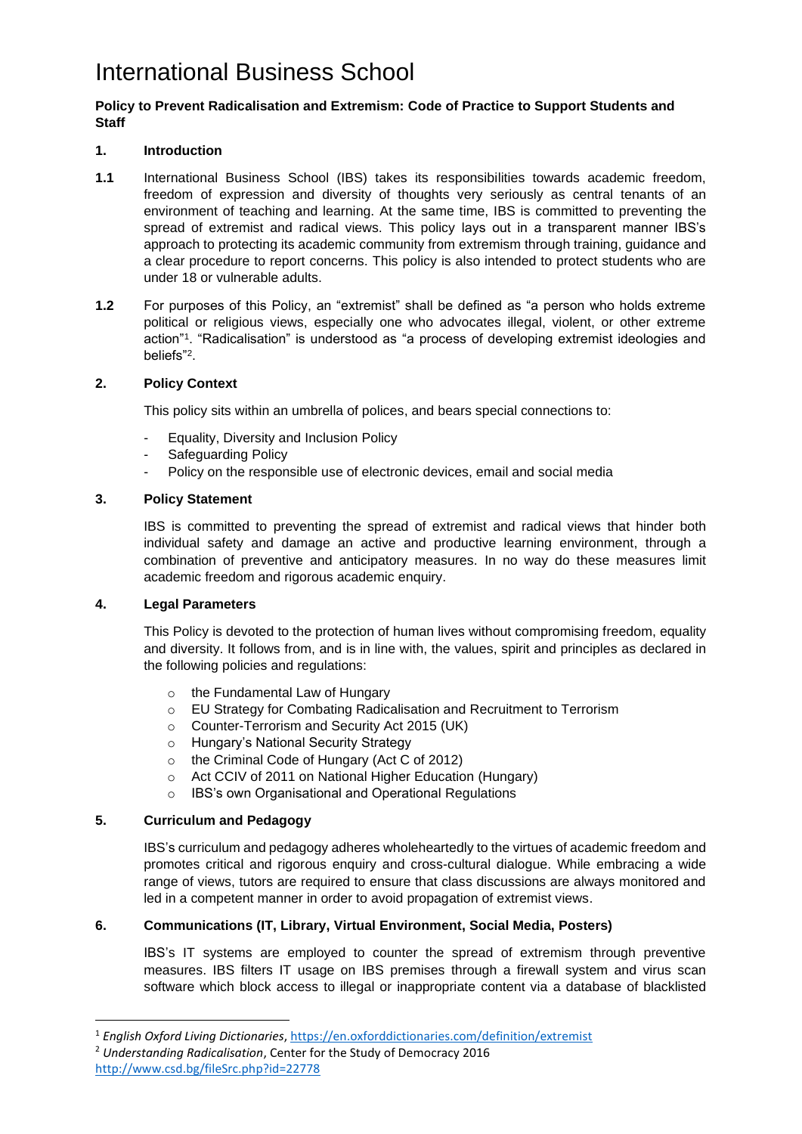# International Business School

#### **Policy to Prevent Radicalisation and Extremism: Code of Practice to Support Students and Staff**

## **1. Introduction**

- **1.1** International Business School (IBS) takes its responsibilities towards academic freedom, freedom of expression and diversity of thoughts very seriously as central tenants of an environment of teaching and learning. At the same time, IBS is committed to preventing the spread of extremist and radical views. This policy lays out in a transparent manner IBS's approach to protecting its academic community from extremism through training, guidance and a clear procedure to report concerns. This policy is also intended to protect students who are under 18 or vulnerable adults.
- **1.2** For purposes of this Policy, an "extremist" shall be defined as "a person who holds extreme political or religious views, especially one who advocates illegal, violent, or other extreme action"<sup>1</sup> . "Radicalisation" is understood as "a process of developing extremist ideologies and beliefs"<sup>2</sup> .

### **2. Policy Context**

This policy sits within an umbrella of polices, and bears special connections to:

- Equality, Diversity and Inclusion Policy
- Safeguarding Policy
- Policy on the responsible use of electronic devices, email and social media

### **3. Policy Statement**

IBS is committed to preventing the spread of extremist and radical views that hinder both individual safety and damage an active and productive learning environment, through a combination of preventive and anticipatory measures. In no way do these measures limit academic freedom and rigorous academic enquiry.

### **4. Legal Parameters**

This Policy is devoted to the protection of human lives without compromising freedom, equality and diversity. It follows from, and is in line with, the values, spirit and principles as declared in the following policies and regulations:

- o the Fundamental Law of Hungary
- o EU Strategy for Combating Radicalisation and Recruitment to Terrorism
- o Counter-Terrorism and Security Act 2015 (UK)
- o Hungary's National Security Strategy
- o the Criminal Code of Hungary (Act C of 2012)
- o Act CCIV of 2011 on National Higher Education (Hungary)
- o IBS's own Organisational and Operational Regulations

### **5. Curriculum and Pedagogy**

IBS's curriculum and pedagogy adheres wholeheartedly to the virtues of academic freedom and promotes critical and rigorous enquiry and cross-cultural dialogue. While embracing a wide range of views, tutors are required to ensure that class discussions are always monitored and led in a competent manner in order to avoid propagation of extremist views.

# **6. Communications (IT, Library, Virtual Environment, Social Media, Posters)**

IBS's IT systems are employed to counter the spread of extremism through preventive measures. IBS filters IT usage on IBS premises through a firewall system and virus scan software which block access to illegal or inappropriate content via a database of blacklisted

<sup>1</sup> *English Oxford Living Dictionaries*,<https://en.oxforddictionaries.com/definition/extremist>

<sup>2</sup> *Understanding Radicalisation*, Center for the Study of Democracy 2016 <http://www.csd.bg/fileSrc.php?id=22778>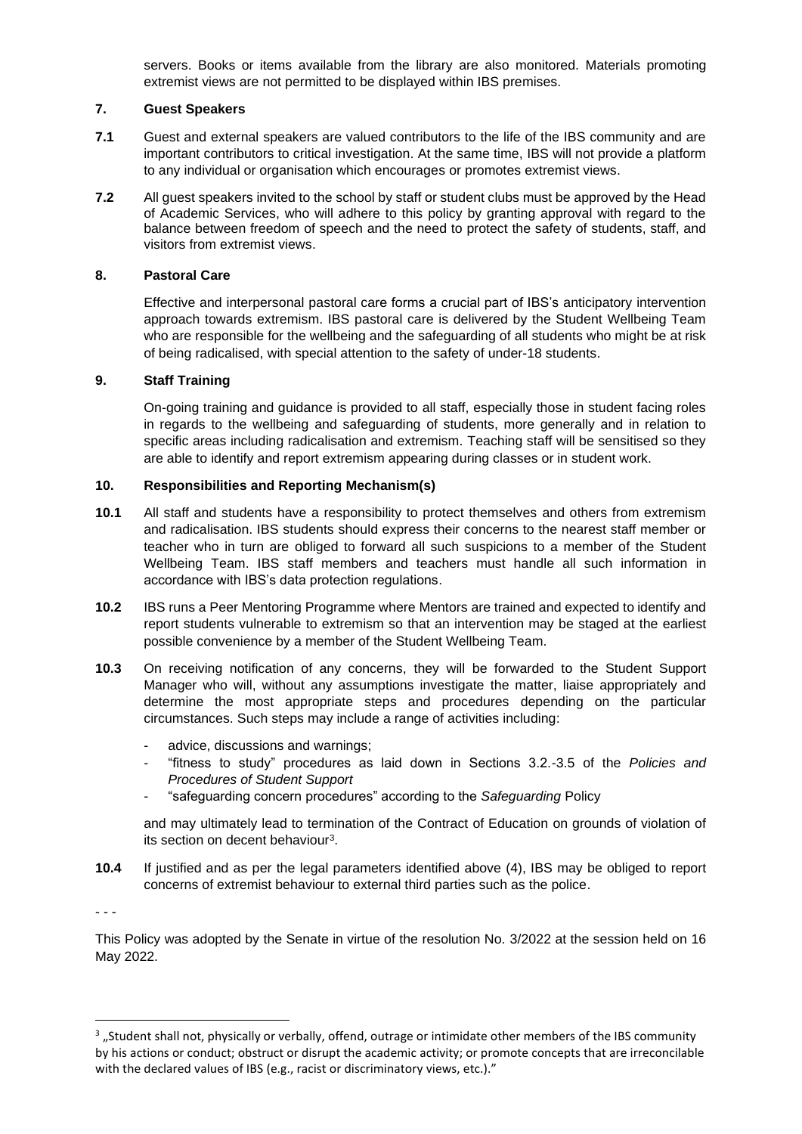servers. Books or items available from the library are also monitored. Materials promoting extremist views are not permitted to be displayed within IBS premises.

#### **7. Guest Speakers**

- **7.1** Guest and external speakers are valued contributors to the life of the IBS community and are important contributors to critical investigation. At the same time, IBS will not provide a platform to any individual or organisation which encourages or promotes extremist views.
- **7.2** All guest speakers invited to the school by staff or student clubs must be approved by the Head of Academic Services, who will adhere to this policy by granting approval with regard to the balance between freedom of speech and the need to protect the safety of students, staff, and visitors from extremist views.

#### **8. Pastoral Care**

Effective and interpersonal pastoral care forms a crucial part of IBS's anticipatory intervention approach towards extremism. IBS pastoral care is delivered by the Student Wellbeing Team who are responsible for the wellbeing and the safeguarding of all students who might be at risk of being radicalised, with special attention to the safety of under-18 students.

#### **9. Staff Training**

On-going training and guidance is provided to all staff, especially those in student facing roles in regards to the wellbeing and safeguarding of students, more generally and in relation to specific areas including radicalisation and extremism. Teaching staff will be sensitised so they are able to identify and report extremism appearing during classes or in student work.

#### **10. Responsibilities and Reporting Mechanism(s)**

- **10.1** All staff and students have a responsibility to protect themselves and others from extremism and radicalisation. IBS students should express their concerns to the nearest staff member or teacher who in turn are obliged to forward all such suspicions to a member of the Student Wellbeing Team. IBS staff members and teachers must handle all such information in accordance with IBS's data protection regulations.
- **10.2** IBS runs a Peer Mentoring Programme where Mentors are trained and expected to identify and report students vulnerable to extremism so that an intervention may be staged at the earliest possible convenience by a member of the Student Wellbeing Team.
- **10.3** On receiving notification of any concerns, they will be forwarded to the Student Support Manager who will, without any assumptions investigate the matter, liaise appropriately and determine the most appropriate steps and procedures depending on the particular circumstances. Such steps may include a range of activities including:
	- advice, discussions and warnings;
	- "fitness to study" procedures as laid down in Sections 3.2.-3.5 of the *Policies and Procedures of Student Support*
	- "safeguarding concern procedures" according to the *Safeguarding* Policy

and may ultimately lead to termination of the Contract of Education on grounds of violation of its section on decent behaviour<sup>3</sup>.

**10.4** If justified and as per the legal parameters identified above (4), IBS may be obliged to report concerns of extremist behaviour to external third parties such as the police.

- - -

This Policy was adopted by the Senate in virtue of the resolution No. 3/2022 at the session held on 16 May 2022.

 $3$  "Student shall not, physically or verbally, offend, outrage or intimidate other members of the IBS community by his actions or conduct; obstruct or disrupt the academic activity; or promote concepts that are irreconcilable with the declared values of IBS (e.g., racist or discriminatory views, etc.)."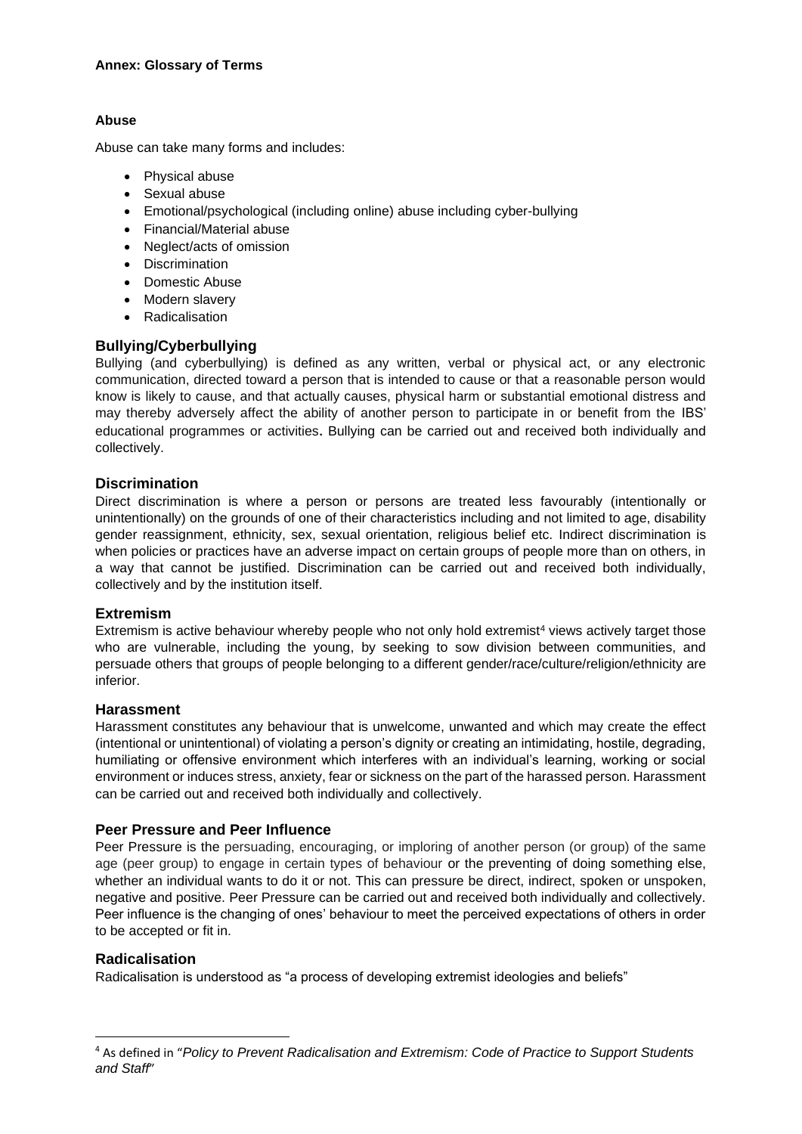#### **Annex: Glossary of Terms**

## **Abuse**

Abuse can take many forms and includes:

- Physical abuse
- Sexual abuse
- Emotional/psychological (including online) abuse including cyber-bullying
- Financial/Material abuse
- Neglect/acts of omission
- Discrimination
- Domestic Abuse
- Modern slavery
- Radicalisation

# **Bullying/Cyberbullying**

Bullying (and cyberbullying) is defined as any written, verbal or physical act, or any electronic communication, directed toward a person that is intended to cause or that a reasonable person would know is likely to cause, and that actually causes, physical harm or substantial emotional distress and may thereby adversely affect the ability of another person to participate in or benefit from the IBS' educational programmes or activities. Bullying can be carried out and received both individually and collectively.

# **Discrimination**

Direct discrimination is where a person or persons are treated less favourably (intentionally or unintentionally) on the grounds of one of their characteristics including and not limited to age, disability gender reassignment, ethnicity, sex, sexual orientation, religious belief etc. Indirect discrimination is when policies or practices have an adverse impact on certain groups of people more than on others, in a way that cannot be justified. Discrimination can be carried out and received both individually, collectively and by the institution itself.

### **Extremism**

Extremism is active behaviour whereby people who not only hold extremist<sup>4</sup> views actively target those who are vulnerable, including the young, by seeking to sow division between communities, and persuade others that groups of people belonging to a different gender/race/culture/religion/ethnicity are inferior.

### **Harassment**

Harassment constitutes any behaviour that is unwelcome, unwanted and which may create the effect (intentional or unintentional) of violating a person's dignity or creating an intimidating, hostile, degrading, humiliating or offensive environment which interferes with an individual's learning, working or social environment or induces stress, anxiety, fear or sickness on the part of the harassed person. Harassment can be carried out and received both individually and collectively.

## **Peer Pressure and Peer Influence**

Peer Pressure is the persuading, encouraging, or imploring of another person (or group) of the same age (peer group) to engage in certain types of behaviour or the preventing of doing something else, whether an individual wants to do it or not. This can pressure be direct, indirect, spoken or unspoken, negative and positive. Peer Pressure can be carried out and received both individually and collectively. Peer influence is the changing of ones' behaviour to meet the perceived expectations of others in order to be accepted or fit in.

### **Radicalisation**

Radicalisation is understood as "a process of developing extremist ideologies and beliefs"

<sup>4</sup> As defined in "*Policy to Prevent Radicalisation and Extremism: Code of Practice to Support Students and Staff*"